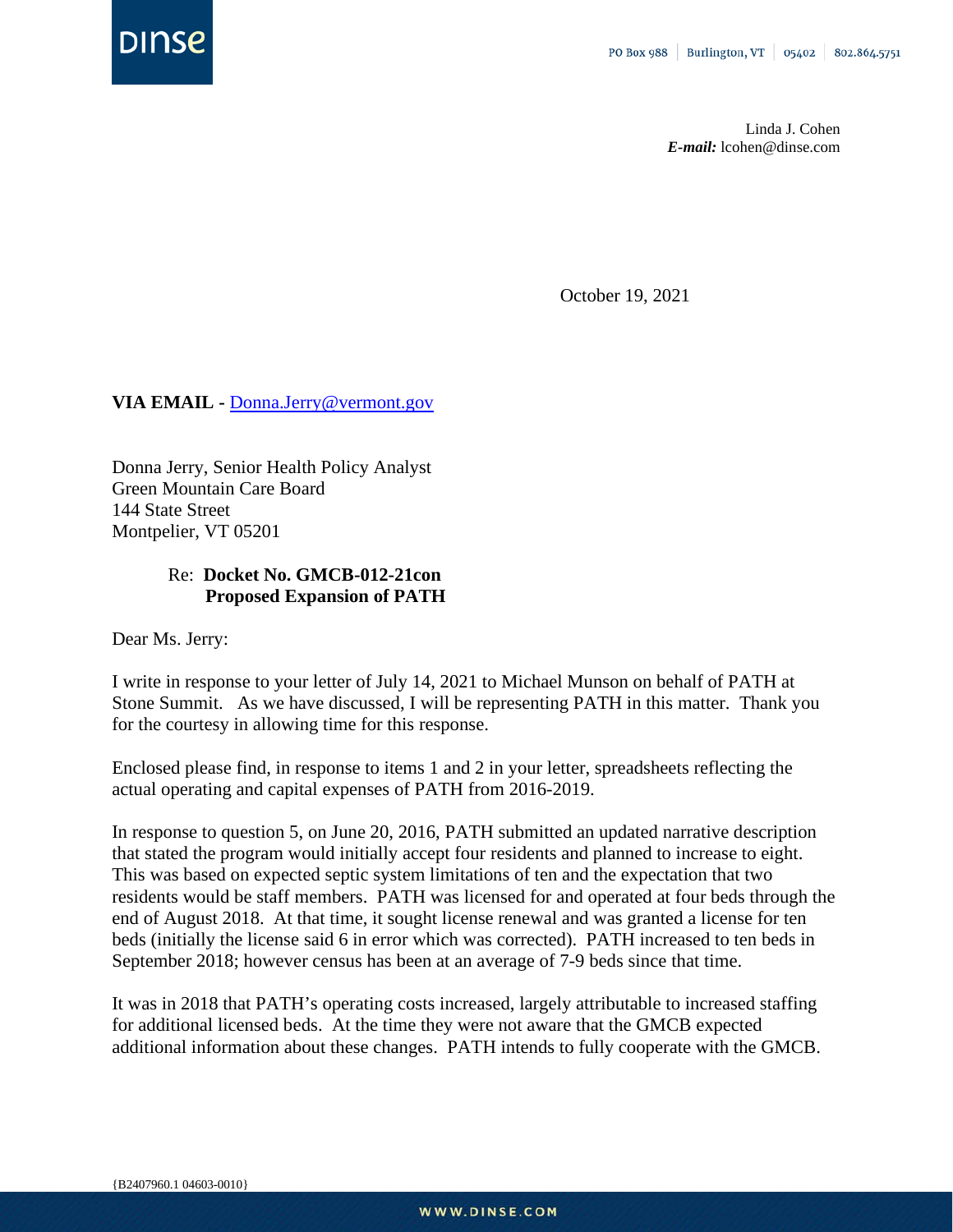

Linda J. Cohen *E-mail:* lcohen@dinse.com

October 19, 2021

## **VIA EMAIL -** [Donna.Jerry@vermont.gov](mailto:Donna.Jerry@vermont.gov)

Donna Jerry, Senior Health Policy Analyst Green Mountain Care Board 144 State Street Montpelier, VT 05201

## Re: **Docket No. GMCB-012-21con Proposed Expansion of PATH**

Dear Ms. Jerry:

I write in response to your letter of July 14, 2021 to Michael Munson on behalf of PATH at Stone Summit. As we have discussed, I will be representing PATH in this matter. Thank you for the courtesy in allowing time for this response.

Enclosed please find, in response to items 1 and 2 in your letter, spreadsheets reflecting the actual operating and capital expenses of PATH from 2016-2019.

In response to question 5, on June 20, 2016, PATH submitted an updated narrative description that stated the program would initially accept four residents and planned to increase to eight. This was based on expected septic system limitations of ten and the expectation that two residents would be staff members. PATH was licensed for and operated at four beds through the end of August 2018. At that time, it sought license renewal and was granted a license for ten beds (initially the license said 6 in error which was corrected). PATH increased to ten beds in September 2018; however census has been at an average of 7-9 beds since that time.

It was in 2018 that PATH's operating costs increased, largely attributable to increased staffing for additional licensed beds. At the time they were not aware that the GMCB expected additional information about these changes. PATH intends to fully cooperate with the GMCB.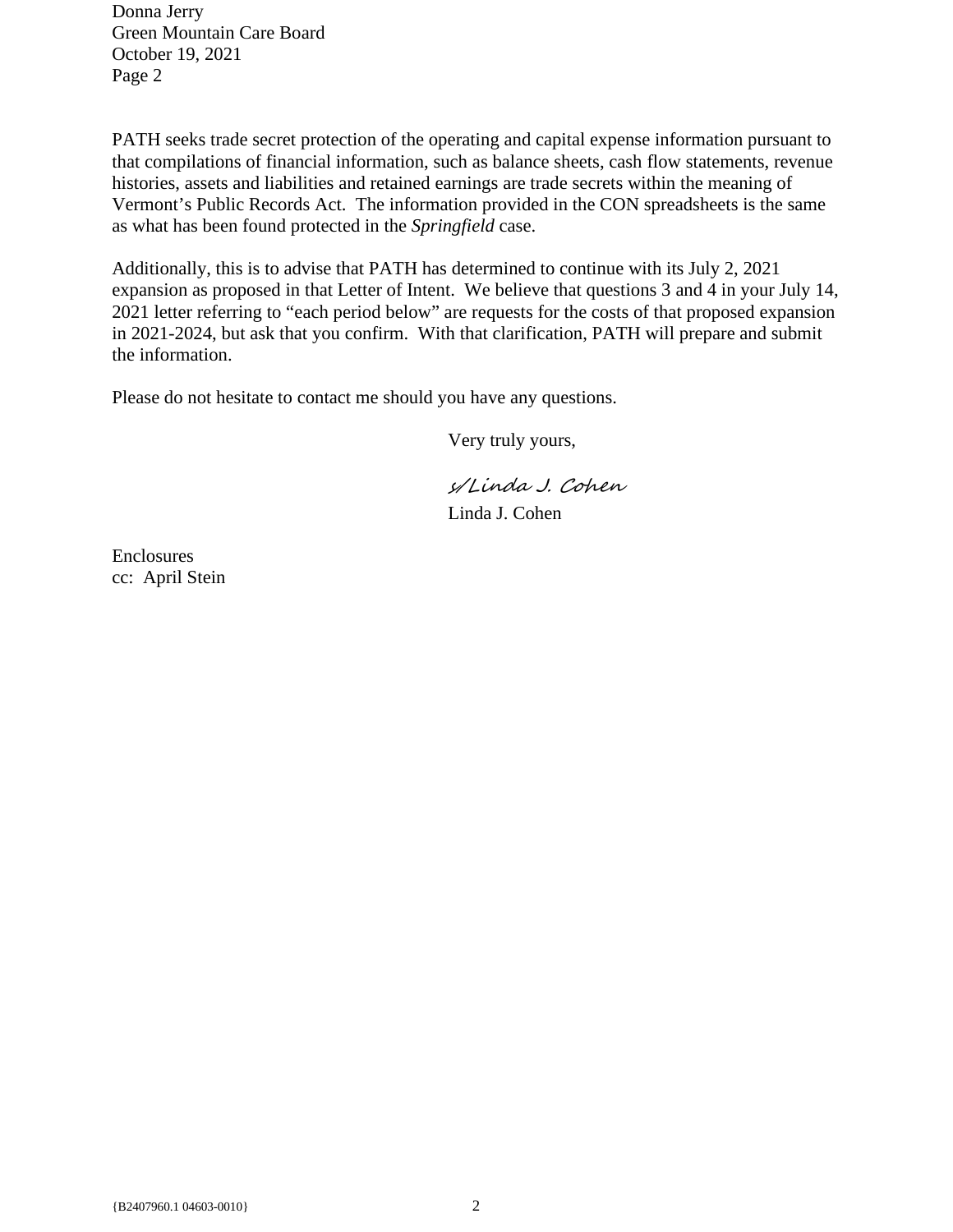Donna Jerry Green Mountain Care Board October 19, 2021 Page 2

PATH seeks trade secret protection of the operating and capital expense information pursuant to that compilations of financial information, such as balance sheets, cash flow statements, revenue histories, assets and liabilities and retained earnings are trade secrets within the meaning of Vermont's Public Records Act. The information provided in the CON spreadsheets is the same as what has been found protected in the *Springfield* case.

Additionally, this is to advise that PATH has determined to continue with its July 2, 2021 expansion as proposed in that Letter of Intent. We believe that questions 3 and 4 in your July 14, 2021 letter referring to "each period below" are requests for the costs of that proposed expansion in 2021-2024, but ask that you confirm. With that clarification, PATH will prepare and submit the information.

Please do not hesitate to contact me should you have any questions.

Very truly yours,

s/Linda J. Cohen Linda J. Cohen

Enclosures cc: April Stein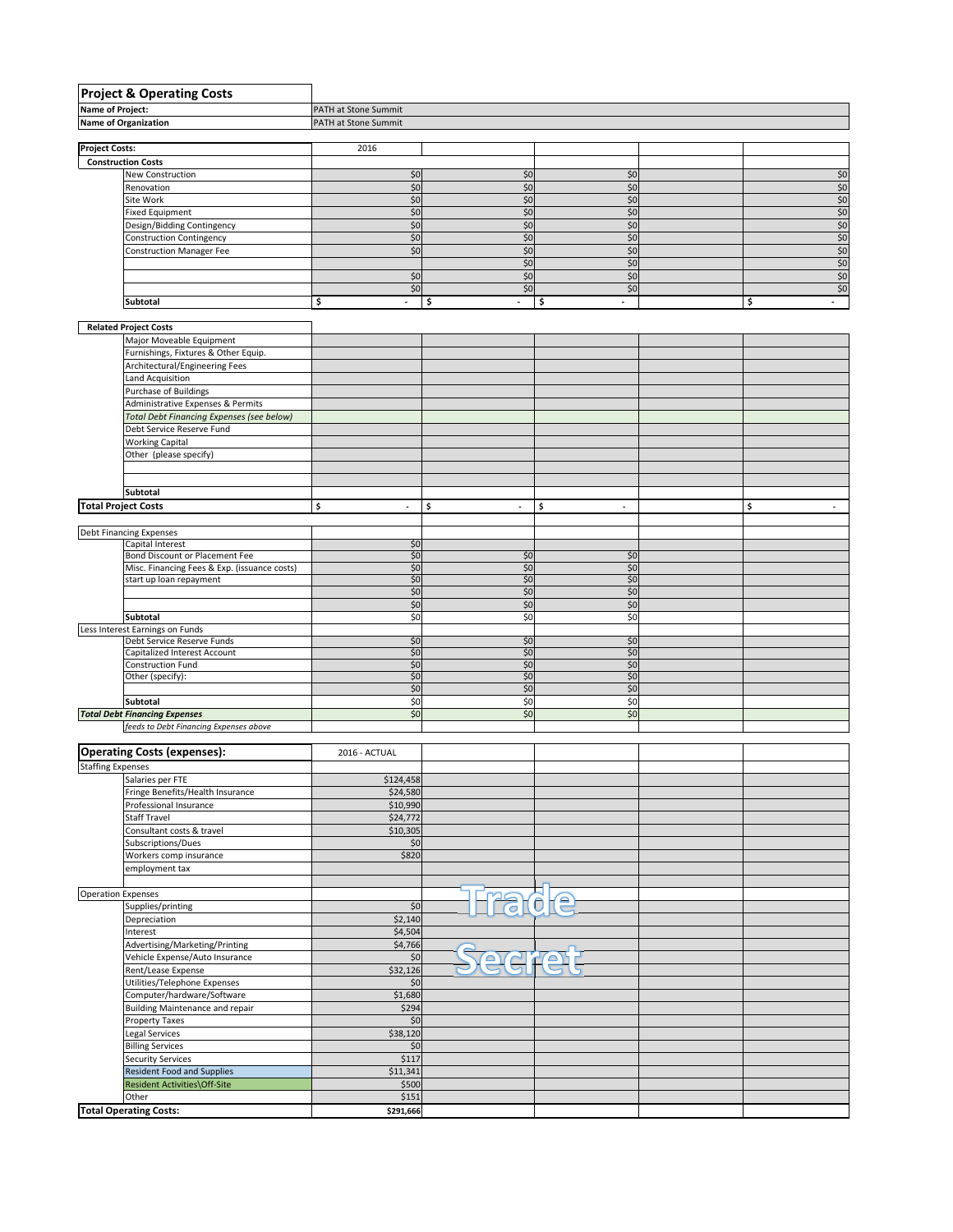|                            | <b>Project &amp; Operating Costs</b>                          |                                |                                |                                |  |                                |  |  |
|----------------------------|---------------------------------------------------------------|--------------------------------|--------------------------------|--------------------------------|--|--------------------------------|--|--|
| <b>Name of Project:</b>    |                                                               | PATH at Stone Summit           |                                |                                |  |                                |  |  |
|                            | Name of Organization                                          | PATH at Stone Summit           |                                |                                |  |                                |  |  |
|                            |                                                               |                                |                                |                                |  |                                |  |  |
| <b>Project Costs:</b>      |                                                               | 2016                           |                                |                                |  |                                |  |  |
|                            | <b>Construction Costs</b><br>New Construction                 | \$0                            | \$0                            | \$0                            |  | \$0                            |  |  |
|                            | Renovation                                                    | \$0                            | \$0                            | \$0                            |  | \$0                            |  |  |
|                            | Site Work                                                     | \$0                            | \$0                            | \$0                            |  | \$0                            |  |  |
|                            | <b>Fixed Equipment</b>                                        | \$0                            | \$0                            | \$0                            |  | \$0                            |  |  |
|                            | Design/Bidding Contingency                                    | \$0                            | \$0                            | \$0                            |  | \$0                            |  |  |
|                            | Construction Contingency                                      | \$0                            | \$0                            | \$0                            |  | $$0$                           |  |  |
|                            | <b>Construction Manager Fee</b>                               | \$0                            | \$0                            | \$0                            |  | \$0                            |  |  |
|                            |                                                               |                                | \$0                            | \$0                            |  | \$0                            |  |  |
|                            |                                                               | \$0                            | \$0                            | \$0                            |  | \$0                            |  |  |
|                            |                                                               | \$0                            | \$0                            | \$0                            |  | \$0                            |  |  |
|                            | Subtotal                                                      | \$<br>$\blacksquare$           | \$<br>$\blacksquare$           | \$                             |  | \$<br>$\sim$                   |  |  |
|                            |                                                               |                                |                                |                                |  |                                |  |  |
|                            | <b>Related Project Costs</b>                                  |                                |                                |                                |  |                                |  |  |
|                            | Major Moveable Equipment                                      |                                |                                |                                |  |                                |  |  |
|                            | Furnishings, Fixtures & Other Equip.                          |                                |                                |                                |  |                                |  |  |
|                            | Architectural/Engineering Fees                                |                                |                                |                                |  |                                |  |  |
|                            | Land Acquisition                                              |                                |                                |                                |  |                                |  |  |
|                            | Purchase of Buildings                                         |                                |                                |                                |  |                                |  |  |
|                            | Administrative Expenses & Permits                             |                                |                                |                                |  |                                |  |  |
|                            | Total Debt Financing Expenses (see below)                     |                                |                                |                                |  |                                |  |  |
|                            | Debt Service Reserve Fund                                     |                                |                                |                                |  |                                |  |  |
|                            | <b>Working Capital</b>                                        |                                |                                |                                |  |                                |  |  |
|                            | Other (please specify)                                        |                                |                                |                                |  |                                |  |  |
|                            |                                                               |                                |                                |                                |  |                                |  |  |
|                            |                                                               |                                |                                |                                |  |                                |  |  |
|                            | <b>Subtotal</b>                                               |                                |                                |                                |  |                                |  |  |
| <b>Total Project Costs</b> |                                                               | \$<br>$\overline{\phantom{a}}$ | \$<br>$\overline{\phantom{a}}$ | \$<br>$\overline{\phantom{a}}$ |  | \$<br>$\overline{\phantom{a}}$ |  |  |
|                            |                                                               |                                |                                |                                |  |                                |  |  |
|                            | <b>Debt Financing Expenses</b>                                |                                |                                |                                |  |                                |  |  |
|                            | Capital Interest                                              | \$0                            |                                |                                |  |                                |  |  |
|                            | Bond Discount or Placement Fee                                | \$0                            | \$0                            | \$0                            |  |                                |  |  |
|                            | Misc. Financing Fees & Exp. (issuance costs)                  | \$0                            | \$0                            | \$0                            |  |                                |  |  |
|                            | start up loan repayment                                       | \$0                            | \$0                            | \$0                            |  |                                |  |  |
|                            |                                                               | \$0                            | \$0                            | \$0                            |  |                                |  |  |
|                            |                                                               | \$0                            | \$0                            | \$0                            |  |                                |  |  |
|                            | Subtotal                                                      | \$0                            | \$0                            | \$0                            |  |                                |  |  |
|                            | Less Interest Earnings on Funds<br>Debt Service Reserve Funds | \$0                            | \$0                            | \$0                            |  |                                |  |  |
|                            | Capitalized Interest Account                                  | \$0                            | \$0                            | \$0                            |  |                                |  |  |
|                            | Construction Fund                                             | \$0                            | \$0                            | \$0                            |  |                                |  |  |
|                            | Other (specify):                                              | \$0                            | \$0                            | \$0                            |  |                                |  |  |
|                            |                                                               | \$0                            | \$0                            | \$0                            |  |                                |  |  |
|                            | <b>Subtotal</b>                                               | \$0                            | \$0                            | \$0                            |  |                                |  |  |
|                            | <b>Total Debt Financing Expenses</b>                          | \$0                            | \$0                            | \$0                            |  |                                |  |  |
|                            | feeds to Debt Financing Expenses above                        |                                |                                |                                |  |                                |  |  |
|                            |                                                               |                                |                                |                                |  |                                |  |  |
|                            | <b>Operating Costs (expenses):</b>                            | 2016 - ACTUAL                  |                                |                                |  |                                |  |  |
| <b>Staffing Expenses</b>   |                                                               |                                |                                |                                |  |                                |  |  |
|                            | Salaries per FTE                                              | \$124,458                      |                                |                                |  |                                |  |  |
|                            | Fringe Benefits/Health Insurance                              | \$24,580                       |                                |                                |  |                                |  |  |
|                            | Professional Insurance                                        | \$10,990                       |                                |                                |  |                                |  |  |
|                            | Staff Travel                                                  | \$24,772                       |                                |                                |  |                                |  |  |
|                            | Consultant costs & travel                                     | \$10,305                       |                                |                                |  |                                |  |  |
|                            | Subscriptions/Dues                                            | \$0                            |                                |                                |  |                                |  |  |
|                            | Workers comp insurance                                        | \$820                          |                                |                                |  |                                |  |  |
|                            | employment tax                                                |                                |                                |                                |  |                                |  |  |
|                            |                                                               |                                |                                |                                |  |                                |  |  |
| <b>Operation Expenses</b>  |                                                               |                                | $\frac{1}{\sqrt{2}}$           | $\triangle$<br>$\overline{0}$  |  |                                |  |  |
|                            | Supplies/printing                                             | \$0                            |                                |                                |  |                                |  |  |
|                            | Depreciation                                                  | \$2,140                        |                                |                                |  |                                |  |  |
|                            | Interest                                                      | \$4,504                        |                                |                                |  |                                |  |  |
|                            | Advertising/Marketing/Printing                                | \$4,766                        |                                |                                |  |                                |  |  |
|                            | Vehicle Expense/Auto Insurance                                | \$0                            | ac                             | <b>Fe</b>                      |  |                                |  |  |
|                            | Rent/Lease Expense                                            | \$32,126                       |                                |                                |  |                                |  |  |
|                            | Utilities/Telephone Expenses                                  | \$0                            |                                |                                |  |                                |  |  |
|                            | Computer/hardware/Software                                    | \$1,680                        |                                |                                |  |                                |  |  |
|                            | <b>Building Maintenance and repair</b>                        | \$294                          |                                |                                |  |                                |  |  |
|                            | Property Taxes                                                | \$0                            |                                |                                |  |                                |  |  |
|                            | Legal Services                                                | \$38,120                       |                                |                                |  |                                |  |  |
|                            | <b>Billing Services</b>                                       | \$0                            |                                |                                |  |                                |  |  |
|                            | <b>Security Services</b>                                      | \$117                          |                                |                                |  |                                |  |  |
|                            | <b>Resident Food and Supplies</b>                             | \$11,341                       |                                |                                |  |                                |  |  |
|                            | Resident Activities\Off-Site                                  | \$500                          |                                |                                |  |                                |  |  |
|                            | Other                                                         | \$151                          |                                |                                |  |                                |  |  |
|                            | <b>Total Operating Costs:</b>                                 | \$291,666                      |                                |                                |  |                                |  |  |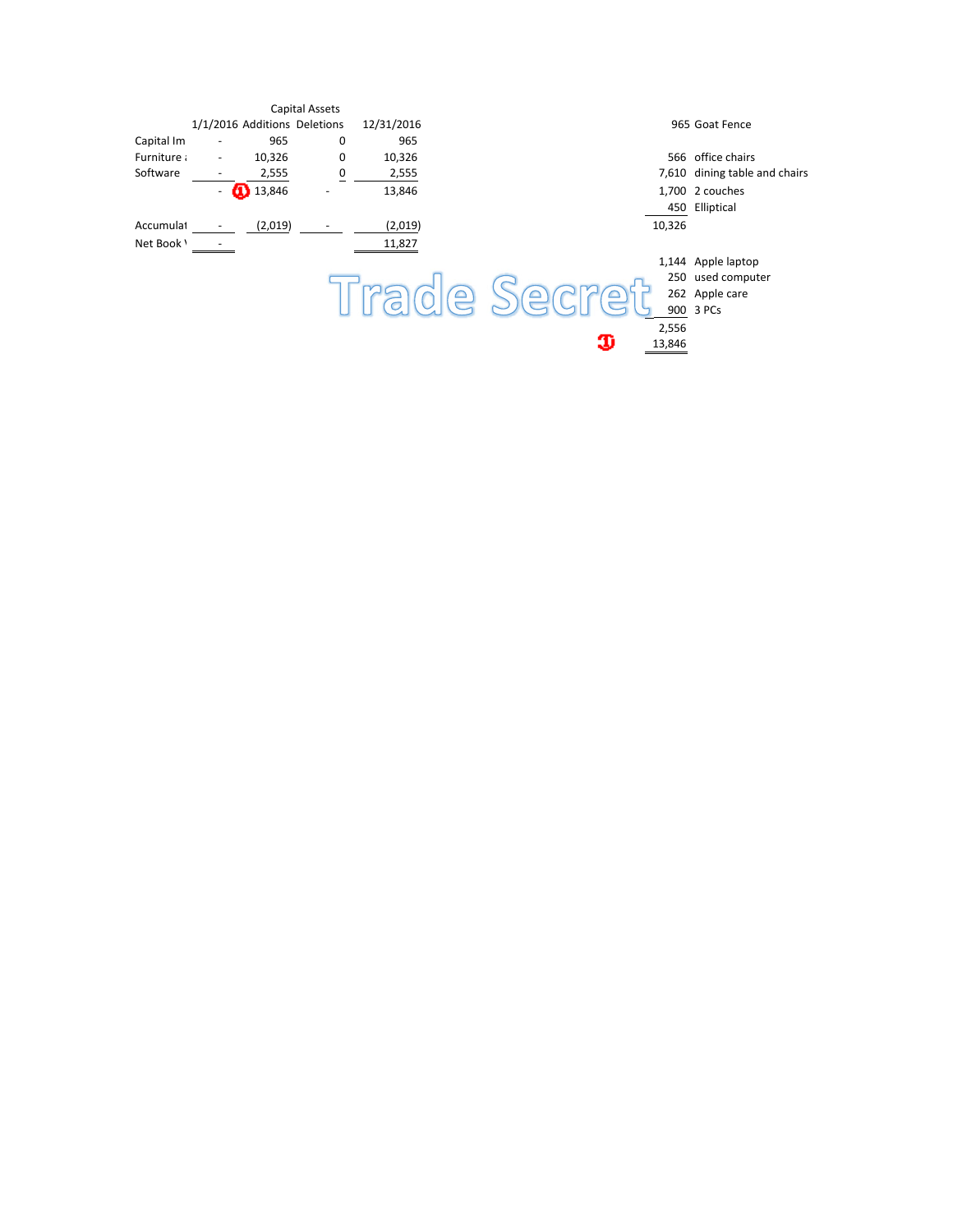|            |                          |                              | Capital Assets |            |                               |
|------------|--------------------------|------------------------------|----------------|------------|-------------------------------|
|            |                          | 1/1/2016 Additions Deletions |                | 12/31/2016 | 965 Goat Fence                |
| Capital Im |                          | 965                          | 0              | 965        |                               |
| Furniture: | $\overline{\phantom{a}}$ | 10,326                       | 0              | 10,326     | 566 office chairs             |
| Software   |                          | 2,555                        | 0              | 2,555      | 7,610 dining table and chairs |
|            | $\overline{\phantom{a}}$ | <b>1</b> 3,846               |                | 13,846     | 1,700 2 couches               |
|            |                          |                              |                |            | 450 Elliptical                |
| Accumulat  |                          | (2,019)                      |                | (2,019)    | 10,326                        |
| Net Book \ |                          |                              |                | 11,827     |                               |
|            |                          |                              |                |            | 1,144 Apple laptop            |
|            |                          |                              |                |            | 250 used computer             |
|            |                          |                              |                |            | $\bigcap$<br>262 Apple care   |
|            |                          |                              |                |            | 900 3 PCs                     |
|            |                          |                              |                |            | 2,556                         |
|            |                          |                              |                |            | D<br>13,846                   |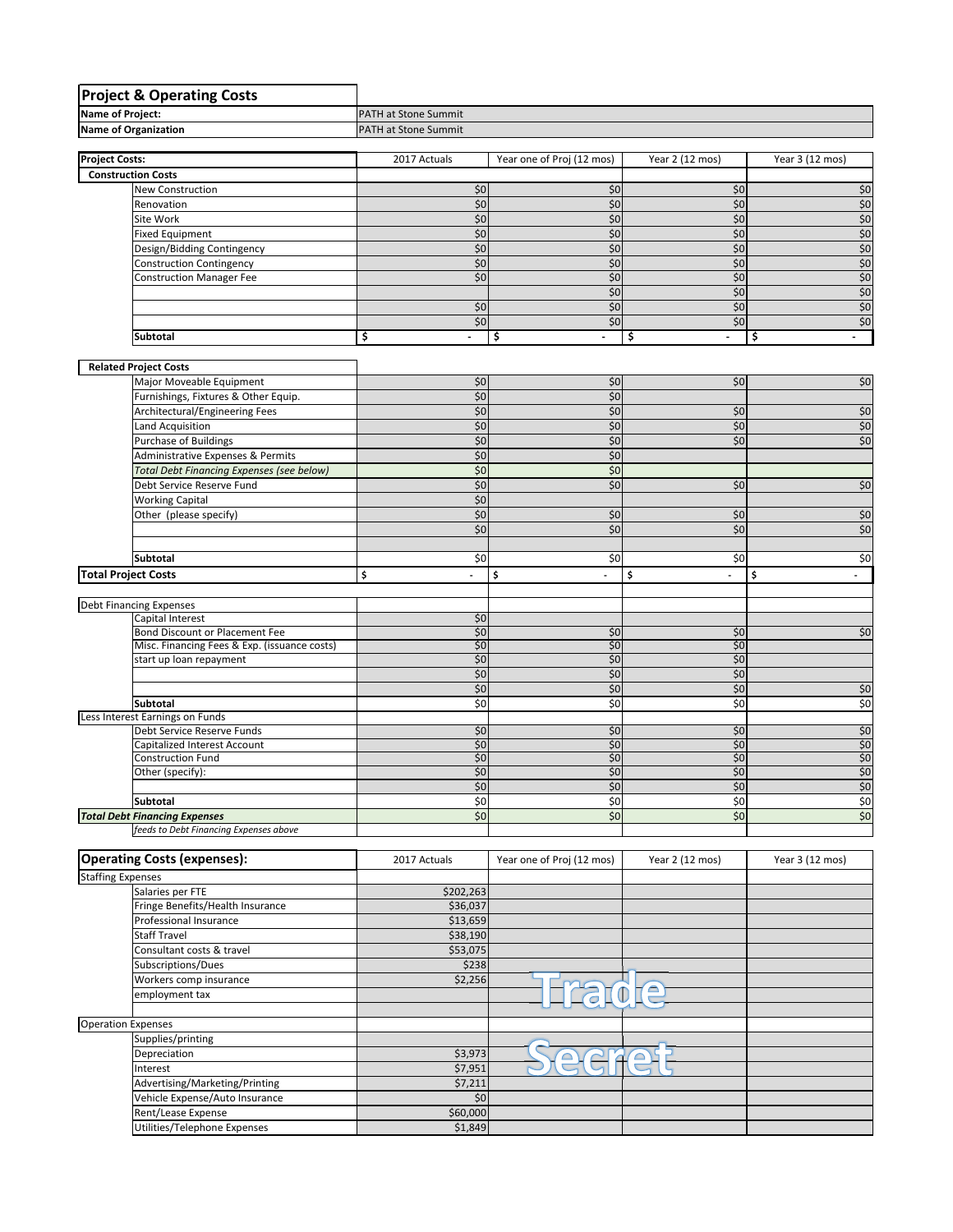| <b>Project &amp; Operating Costs</b>             |                             |                                |                                |                 |
|--------------------------------------------------|-----------------------------|--------------------------------|--------------------------------|-----------------|
| Name of Project:                                 | PATH at Stone Summit        |                                |                                |                 |
| <b>Name of Organization</b>                      | <b>PATH at Stone Summit</b> |                                |                                |                 |
|                                                  |                             |                                |                                |                 |
| <b>Project Costs:</b>                            | 2017 Actuals                | Year one of Proj (12 mos)      | Year 2 (12 mos)                | Year 3 (12 mos) |
| <b>Construction Costs</b>                        |                             |                                |                                |                 |
| <b>New Construction</b>                          | \$0                         | \$0                            | \$0                            | \$0             |
| Renovation                                       | \$0                         | \$0                            | \$0                            | \$0             |
| Site Work                                        | \$0                         | \$0                            | \$0                            | \$0             |
| <b>Fixed Equipment</b>                           | \$0                         | \$0                            | \$0                            | \$0             |
| Design/Bidding Contingency                       | \$0                         | \$0                            | \$0                            | \$0             |
| <b>Construction Contingency</b>                  | \$0                         | \$0                            | \$0                            | \$0             |
| <b>Construction Manager Fee</b>                  | \$0                         | \$0                            | \$0                            | $$0$            |
|                                                  |                             | \$0                            | \$0                            | \$0             |
|                                                  | \$0                         | \$0                            | \$0                            | \$0             |
|                                                  | \$0                         | \$0                            | \$0                            | \$0             |
| Subtotal                                         | \$                          | \$<br>$\overline{\phantom{a}}$ | \$<br>$\overline{\phantom{a}}$ | \$              |
|                                                  |                             |                                |                                |                 |
| <b>Related Project Costs</b>                     |                             |                                |                                |                 |
| Major Moveable Equipment                         | \$0                         | \$0                            | \$0                            | $$0$$           |
| Furnishings, Fixtures & Other Equip.             | \$0                         | \$0                            |                                |                 |
| Architectural/Engineering Fees                   | \$0                         | \$0                            | \$0                            | \$0             |
| Land Acquisition                                 | \$0                         | \$0                            | \$0                            | \$0             |
| Purchase of Buildings                            | \$0                         | \$0                            | \$0                            | \$0             |
| Administrative Expenses & Permits                | \$0                         | \$0                            |                                |                 |
| <b>Total Debt Financing Expenses (see below)</b> | \$0                         | \$0                            |                                |                 |
| Debt Service Reserve Fund                        | \$0                         | \$0                            | \$0                            | \$0             |
| <b>Working Capital</b>                           | \$0                         |                                |                                |                 |
| Other (please specify)                           | \$0                         | \$0                            | \$0                            | \$0             |
|                                                  | \$0                         | \$0                            | \$0                            | $$0$$           |
|                                                  |                             |                                |                                |                 |
| <b>Subtotal</b>                                  | \$0                         | \$0                            | \$0                            | \$0             |
| <b>Total Project Costs</b>                       | \$                          | \$                             | \$<br>ä,                       | \$              |
|                                                  |                             |                                |                                |                 |
| <b>Debt Financing Expenses</b>                   |                             |                                |                                |                 |
| Capital Interest                                 | \$0                         |                                |                                |                 |
| Bond Discount or Placement Fee                   | \$0                         | \$0                            | \$0                            | $\frac{1}{2}$   |
| Misc. Financing Fees & Exp. (issuance costs)     | \$0                         | \$0                            | \$0                            |                 |
| start up loan repayment                          | \$0                         | \$0                            | \$0                            |                 |
|                                                  | \$0                         | \$0                            | \$0                            |                 |
|                                                  | \$0                         | \$0                            | \$0                            | \$0             |
| <b>Subtotal</b>                                  | $\overline{50}$             | \$0                            | \$0                            | \$0             |
| Less Interest Earnings on Funds                  |                             |                                |                                |                 |
| Debt Service Reserve Funds                       | \$0                         | \$0                            | \$0                            | \$0             |
| Capitalized Interest Account                     | \$0                         | \$0                            | \$0                            | \$0             |
| <b>Construction Fund</b>                         | \$0<br>\$0                  | \$0<br>\$0\$                   | \$0<br>\$0                     | \$0<br>\$0      |
| Other (specify):                                 | \$0                         | \$0                            | \$0                            | \$0             |
| Subtotal                                         | \$0                         | \$0                            | \$0                            | $\frac{1}{6}$   |
| <b>Total Debt Financing Expenses</b>             | \$0                         | \$0                            | \$0                            | \$0             |
| feeds to Debt Financing Expenses above           |                             |                                |                                |                 |
|                                                  |                             |                                |                                |                 |
| <b>Operating Costs (expenses):</b>               | 2017 Actuals                | Year one of Proj (12 mos)      | Year 2 (12 mos)                | Year 3 (12 mos) |
| <b>Staffing Expenses</b>                         |                             |                                |                                |                 |
| Salaries per FTE                                 | \$202,263                   |                                |                                |                 |

| Staffing Expenses                |           |       |  |
|----------------------------------|-----------|-------|--|
| Salaries per FTE                 | \$202,263 |       |  |
| Fringe Benefits/Health Insurance | \$36,037  |       |  |
| Professional Insurance           | \$13,659  |       |  |
| <b>Staff Travel</b>              | \$38,190  |       |  |
| Consultant costs & travel        | \$53,075  |       |  |
| Subscriptions/Dues               | \$238     |       |  |
| Workers comp insurance           | \$2,256   |       |  |
| employment tax                   |           | rance |  |
|                                  |           |       |  |
| <b>Operation Expenses</b>        |           |       |  |
| Supplies/printing                |           |       |  |
| Depreciation                     | \$3,973   |       |  |
| Interest                         | \$7,951   |       |  |
| Advertising/Marketing/Printing   | \$7,211   |       |  |
| Vehicle Expense/Auto Insurance   | \$0       |       |  |
| Rent/Lease Expense               | \$60,000  |       |  |
| Utilities/Telephone Expenses     | \$1,849   |       |  |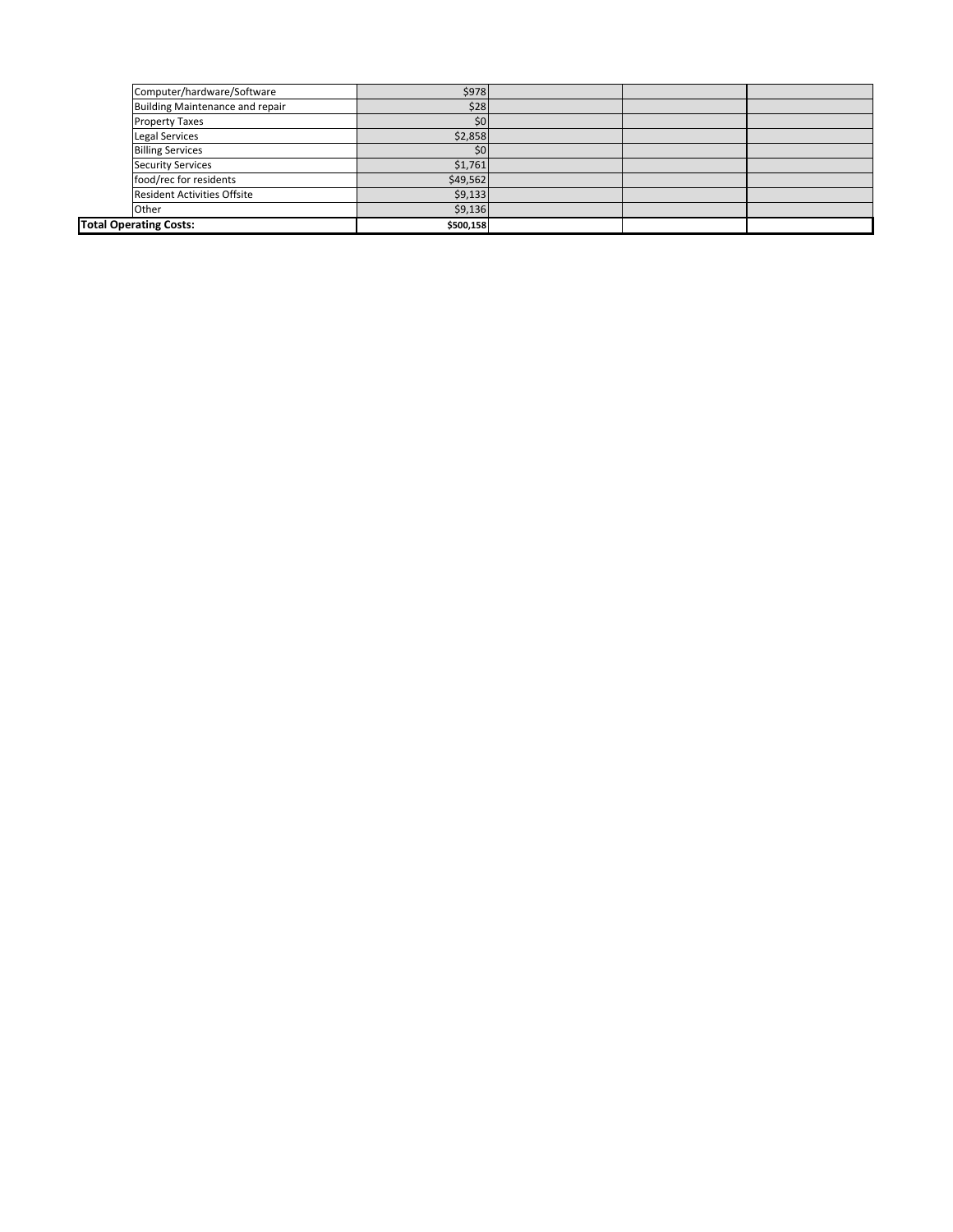| Computer/hardware/Software         | \$978            |  |  |
|------------------------------------|------------------|--|--|
| Building Maintenance and repair    | \$28             |  |  |
| <b>Property Taxes</b>              | \$0              |  |  |
| <b>Legal Services</b>              | \$2,858          |  |  |
| <b>Billing Services</b>            | \$0 <sub>1</sub> |  |  |
| <b>Security Services</b>           | \$1,761          |  |  |
| food/rec for residents             | \$49,562         |  |  |
| <b>Resident Activities Offsite</b> | \$9,133          |  |  |
| Other                              | \$9,136          |  |  |
| <b>Total Operating Costs:</b>      | \$500,158        |  |  |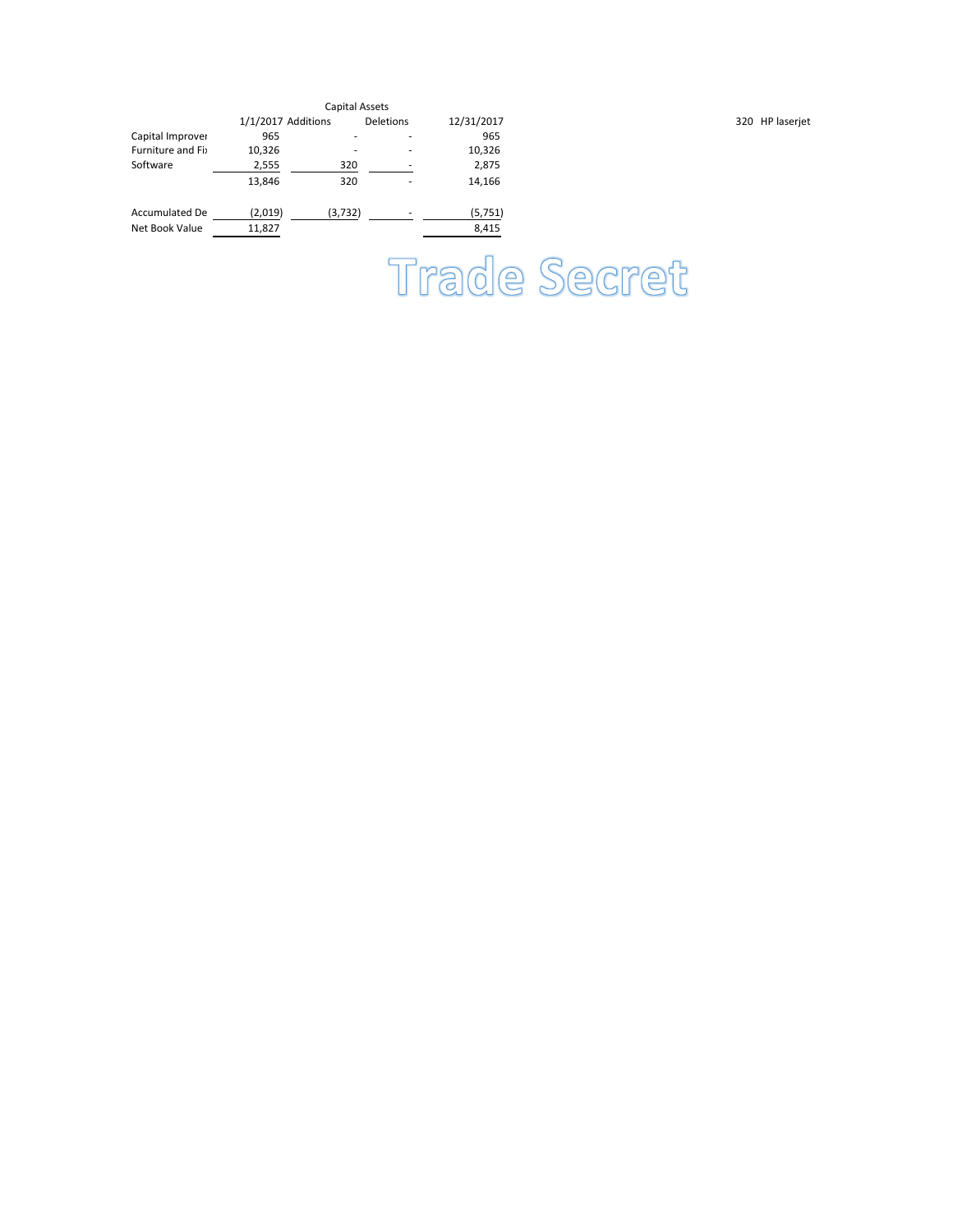|                  |                    | Capital Assets |                          |            |                 |
|------------------|--------------------|----------------|--------------------------|------------|-----------------|
|                  | 1/1/2017 Additions |                | Deletions                | 12/31/2017 | 320 HP laserjet |
| Capital Improver | 965                |                | $\overline{\phantom{a}}$ | 965        |                 |
| Furniture and Fi | 10,326             |                | $\overline{\phantom{a}}$ | 10,326     |                 |
| Software         | 2,555              | 320            |                          | 2,875      |                 |
|                  | 13,846             | 320            | ٠                        | 14,166     |                 |
| Accumulated De   | (2,019)            | (3,732)        |                          | (5,751)    |                 |
| Net Book Value   | 11,827             |                |                          | 8,415      |                 |

Trade Secret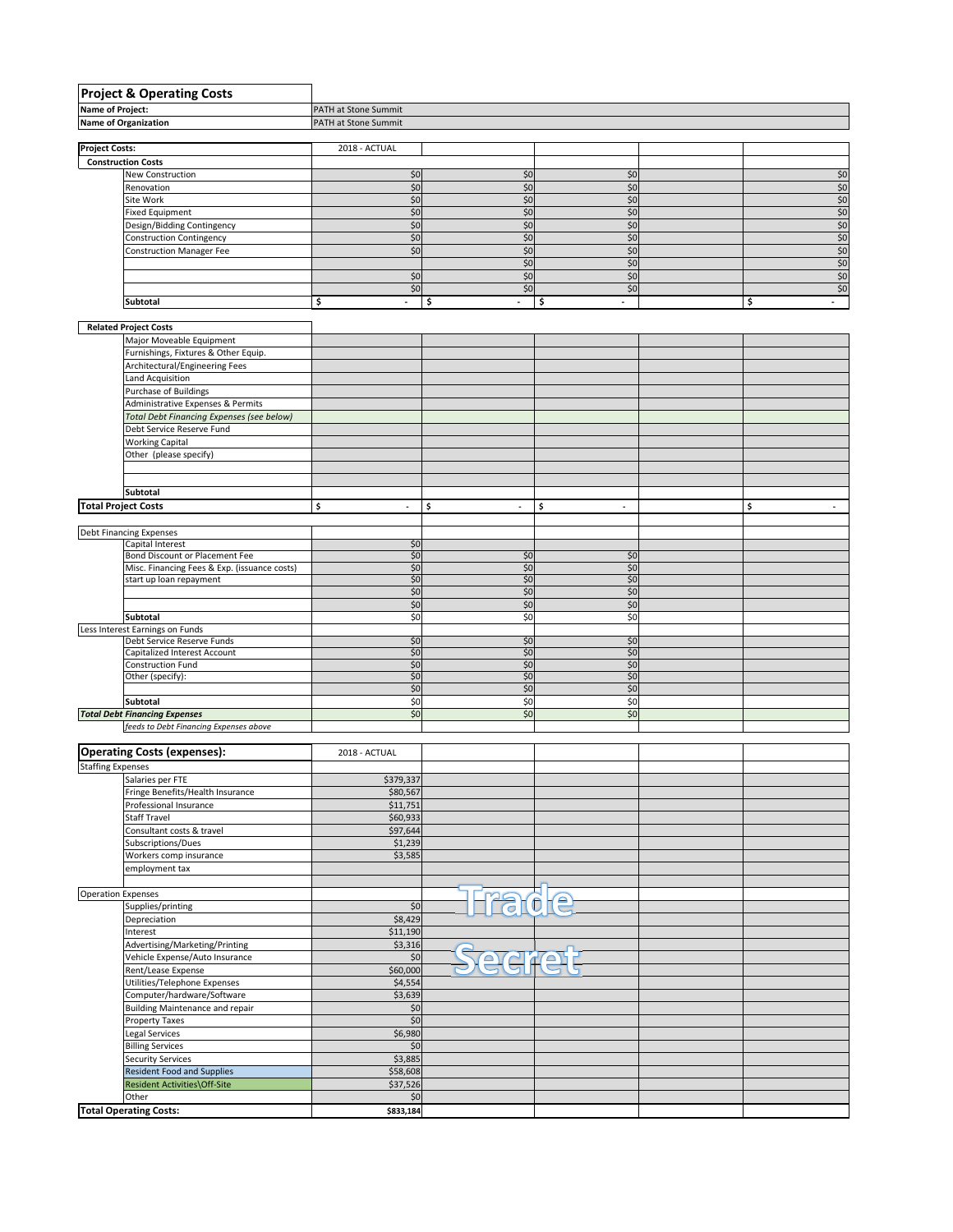|                            | <b>Project &amp; Operating Costs</b>                     |                                |                                |                                |                                |
|----------------------------|----------------------------------------------------------|--------------------------------|--------------------------------|--------------------------------|--------------------------------|
| <b>Name of Project:</b>    |                                                          | PATH at Stone Summit           |                                |                                |                                |
|                            | <b>Name of Organization</b>                              | PATH at Stone Summit           |                                |                                |                                |
|                            |                                                          |                                |                                |                                |                                |
| <b>Project Costs:</b>      |                                                          | 2018 - ACTUAL                  |                                |                                |                                |
|                            | <b>Construction Costs</b><br>New Construction            | \$0                            | \$0                            | \$0                            | \$0                            |
|                            | Renovation                                               | \$0                            | \$0                            | \$0                            | $$0$                           |
|                            | Site Work                                                | \$0                            | \$0                            | \$0                            | $$0$                           |
|                            | <b>Fixed Equipment</b>                                   | \$0                            | \$0                            | \$0                            | \$0                            |
|                            | Design/Bidding Contingency                               | \$0                            | \$0                            | \$0                            | \$0                            |
|                            | <b>Construction Contingency</b>                          | \$0                            | \$0                            | \$0                            | \$0                            |
|                            | <b>Construction Manager Fee</b>                          | \$0                            | \$0                            | \$0                            | \$0                            |
|                            |                                                          |                                | \$0                            | \$0                            | \$0                            |
|                            |                                                          | \$0<br>\$0                     | \$0<br>\$0                     | \$0                            | $$0$<br>\$0                    |
|                            | Subtotal                                                 | \$                             | \$                             | \$0<br>\$                      | \$<br>$\sim$                   |
|                            |                                                          |                                |                                |                                |                                |
|                            | <b>Related Project Costs</b>                             |                                |                                |                                |                                |
|                            | Major Moveable Equipment                                 |                                |                                |                                |                                |
|                            | Furnishings, Fixtures & Other Equip.                     |                                |                                |                                |                                |
|                            | Architectural/Engineering Fees                           |                                |                                |                                |                                |
|                            | Land Acquisition                                         |                                |                                |                                |                                |
|                            | Purchase of Buildings                                    |                                |                                |                                |                                |
|                            | Administrative Expenses & Permits                        |                                |                                |                                |                                |
|                            | <b>Total Debt Financing Expenses (see below)</b>         |                                |                                |                                |                                |
|                            | Debt Service Reserve Fund                                |                                |                                |                                |                                |
|                            | <b>Working Capital</b>                                   |                                |                                |                                |                                |
|                            | Other (please specify)                                   |                                |                                |                                |                                |
|                            |                                                          |                                |                                |                                |                                |
|                            | Subtotal                                                 |                                |                                |                                |                                |
| <b>Total Project Costs</b> |                                                          | \$<br>$\overline{\phantom{a}}$ | \$<br>$\overline{\phantom{a}}$ | \$<br>$\overline{\phantom{a}}$ | \$<br>$\overline{\phantom{a}}$ |
|                            |                                                          |                                |                                |                                |                                |
|                            | <b>Debt Financing Expenses</b>                           |                                |                                |                                |                                |
|                            | Capital Interest                                         | \$0                            |                                |                                |                                |
|                            | Bond Discount or Placement Fee                           | \$0                            | \$0                            | \$0                            |                                |
|                            | Misc. Financing Fees & Exp. (issuance costs)             | \$0                            | \$0                            | \$0                            |                                |
|                            | start up loan repayment                                  | \$0                            | \$0                            | \$0                            |                                |
|                            |                                                          | \$0<br>\$0                     | \$0<br>\$0                     | \$0<br>\$0                     |                                |
|                            | Subtotal                                                 | \$0                            | \$0                            | \$0                            |                                |
|                            | Less Interest Earnings on Funds                          |                                |                                |                                |                                |
|                            | Debt Service Reserve Funds                               | \$0                            | \$0                            | \$0                            |                                |
|                            | Capitalized Interest Account                             | \$0                            | \$0                            | \$0                            |                                |
|                            | Construction Fund                                        | \$0                            | \$0                            | \$0                            |                                |
|                            | Other (specify):                                         | \$0                            | \$0                            | \$0                            |                                |
|                            | Subtotal                                                 | \$0<br>\$0                     | \$0<br>\$0                     | \$0<br>\$0                     |                                |
|                            | <b>Total Debt Financing Expenses</b>                     | \$0                            | \$0                            | \$0                            |                                |
|                            | feeds to Debt Financing Expenses above                   |                                |                                |                                |                                |
|                            |                                                          |                                |                                |                                |                                |
|                            | <b>Operating Costs (expenses):</b>                       | 2018 - ACTUAL                  |                                |                                |                                |
| <b>Staffing Expenses</b>   |                                                          |                                |                                |                                |                                |
|                            | Salaries per FTE                                         | \$379,337                      |                                |                                |                                |
|                            | Fringe Benefits/Health Insurance                         | \$80,567                       |                                |                                |                                |
|                            | Professional Insurance                                   | \$11,751                       |                                |                                |                                |
|                            | Staff Travel                                             | \$60,933                       |                                |                                |                                |
|                            | Consultant costs & travel                                | \$97,644                       |                                |                                |                                |
|                            | Subscriptions/Dues<br>Workers comp insurance             | \$1,239<br>\$3,585             |                                |                                |                                |
|                            | employment tax                                           |                                |                                |                                |                                |
|                            |                                                          |                                |                                |                                |                                |
| <b>Operation Expenses</b>  |                                                          |                                |                                |                                |                                |
|                            | Supplies/printing                                        | \$0                            | Fract                          | $\widehat{\mathbf{e}}$         |                                |
|                            | Depreciation                                             | \$8,429                        |                                |                                |                                |
|                            | Interest                                                 | \$11,190                       |                                |                                |                                |
|                            | Advertising/Marketing/Printing                           | \$3,316                        |                                |                                |                                |
|                            | Vehicle Expense/Auto Insurance                           | $$0$$                          | 2d                             | $\bullet$                      |                                |
|                            | Rent/Lease Expense                                       | \$60,000                       |                                |                                |                                |
|                            | Utilities/Telephone Expenses                             | \$4,554                        |                                |                                |                                |
|                            | Computer/hardware/Software                               | \$3,639                        |                                |                                |                                |
|                            | <b>Building Maintenance and repair</b><br>Property Taxes | $$0$<br>\$0                    |                                |                                |                                |
|                            | Legal Services                                           | \$6,980                        |                                |                                |                                |
|                            | <b>Billing Services</b>                                  | \$0                            |                                |                                |                                |
|                            | <b>Security Services</b>                                 | \$3,885                        |                                |                                |                                |
|                            | Resident Food and Supplies                               | \$58,608                       |                                |                                |                                |
|                            | Resident Activities\Off-Site                             | \$37,526                       |                                |                                |                                |
|                            | Other                                                    | \$0                            |                                |                                |                                |
|                            | <b>Total Operating Costs:</b>                            | \$833,184                      |                                |                                |                                |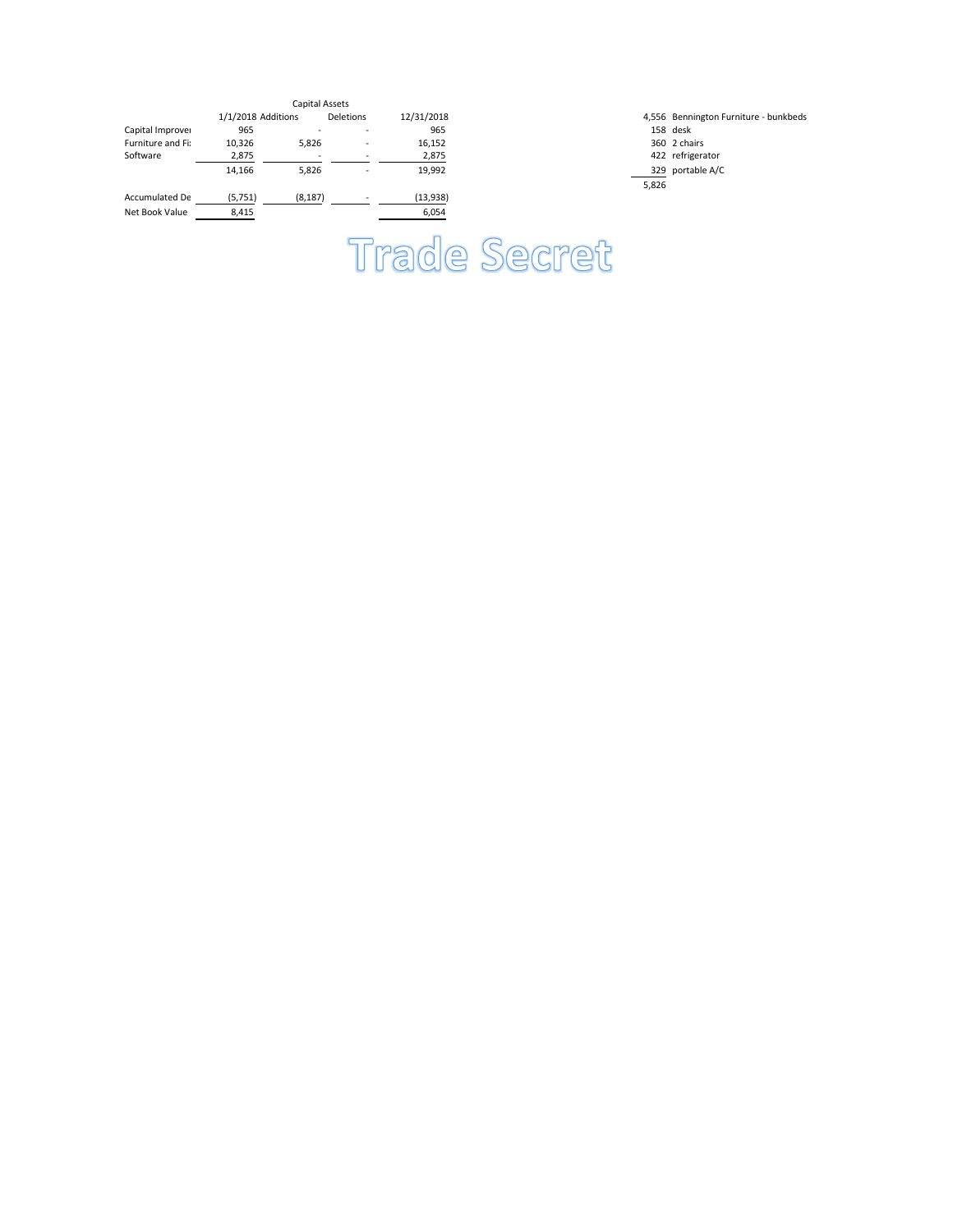|                   |                    | Capital Assets |                  |            |       |                    |
|-------------------|--------------------|----------------|------------------|------------|-------|--------------------|
|                   | 1/1/2018 Additions |                | <b>Deletions</b> | 12/31/2018 |       | 4,556 Bennington F |
| Capital Improver  | 965                |                |                  | 965        |       | 158 desk           |
| Furniture and Fi: | 10,326             | 5,826          |                  | 16,152     |       | 360 2 chairs       |
| Software          | 2,875              | -              |                  | 2,875      |       | 422 refrigerator   |
|                   | 14,166             | 5,826          |                  | 19,992     |       | 329 portable A/C   |
|                   |                    |                |                  |            | 5,826 |                    |
| Accumulated De    | (5,751)            | (8, 187)       |                  | (13,938)   |       |                    |
| Net Book Value    | 8,415              |                |                  | 6,054      |       |                    |
|                   |                    |                |                  |            |       |                    |

1,556 Bennington Furniture - bunkbeds<br>158 desk

## **Trade Secret**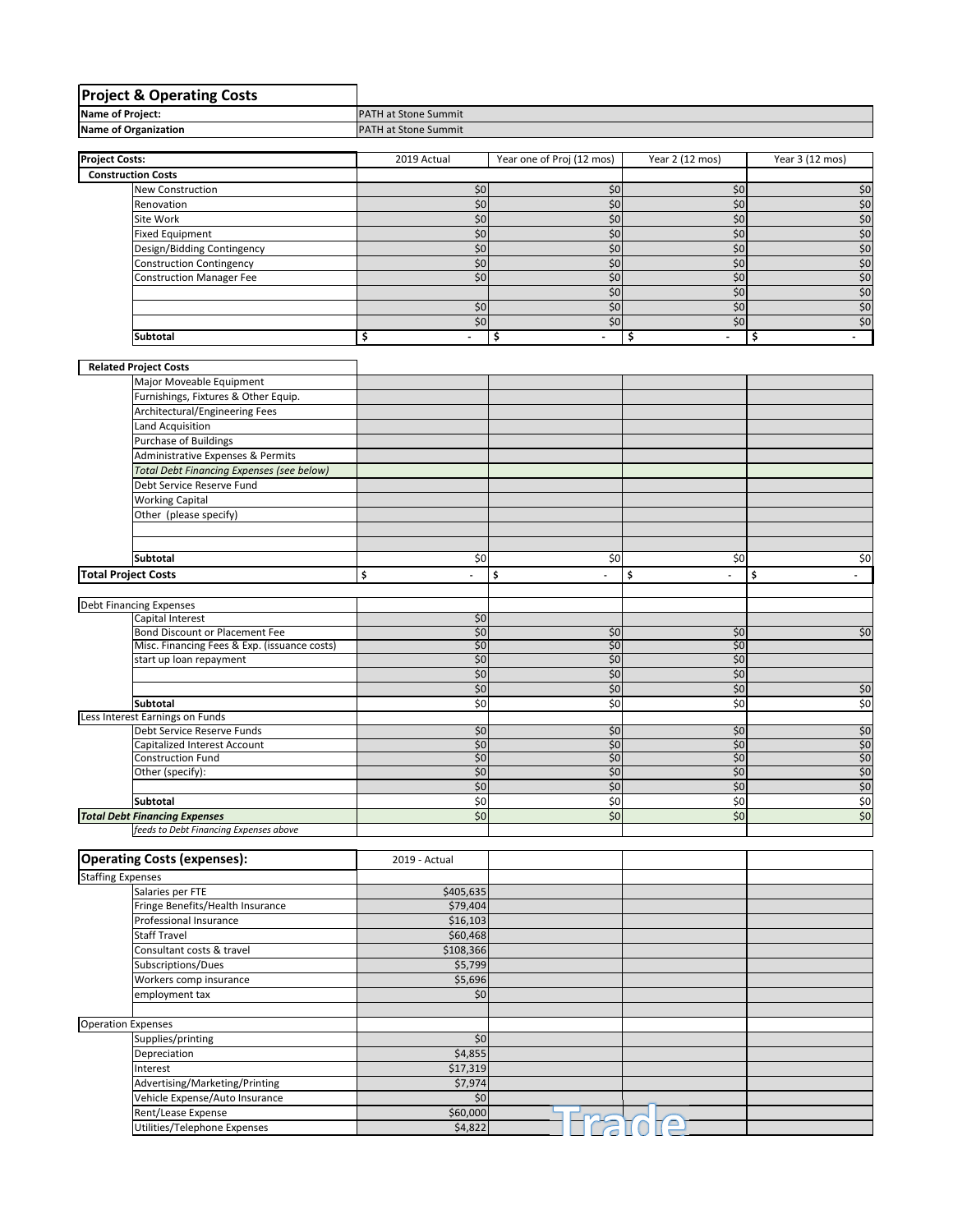|                            | <b>Project &amp; Operating Costs</b>                                          |                                |                           |                                |                 |  |  |
|----------------------------|-------------------------------------------------------------------------------|--------------------------------|---------------------------|--------------------------------|-----------------|--|--|
| Name of Project:           |                                                                               | PATH at Stone Summit           |                           |                                |                 |  |  |
|                            | Name of Organization                                                          | PATH at Stone Summit           |                           |                                |                 |  |  |
|                            |                                                                               |                                |                           |                                |                 |  |  |
| <b>Project Costs:</b>      |                                                                               | 2019 Actual                    | Year one of Proj (12 mos) | Year 2 (12 mos)                | Year 3 (12 mos) |  |  |
|                            | <b>Construction Costs</b>                                                     |                                |                           |                                |                 |  |  |
|                            | <b>New Construction</b>                                                       | \$0                            | \$0                       | \$0                            | \$0             |  |  |
|                            | Renovation                                                                    | \$0                            | \$0                       | \$0                            | \$0             |  |  |
|                            | Site Work                                                                     | \$0                            | \$0                       | \$0                            | \$0             |  |  |
|                            | <b>Fixed Equipment</b>                                                        | \$0                            | \$0                       | \$0                            | \$0             |  |  |
|                            | Design/Bidding Contingency                                                    | \$0                            | \$0                       | \$0                            | \$0             |  |  |
|                            | <b>Construction Contingency</b>                                               | \$0                            | \$0                       | \$0                            | $$0$            |  |  |
|                            | <b>Construction Manager Fee</b>                                               | \$0                            | \$0                       | \$0                            | \$0             |  |  |
|                            |                                                                               |                                | \$0                       | \$0                            | $$0$            |  |  |
|                            |                                                                               | \$0                            | \$0                       | \$0                            | \$0             |  |  |
|                            |                                                                               | \$0                            | \$0                       | \$0                            | \$0             |  |  |
|                            | Subtotal                                                                      | \$<br>$\overline{\phantom{a}}$ | \$                        | \$<br>$\overline{\phantom{a}}$ | \$              |  |  |
|                            | <b>Related Project Costs</b>                                                  |                                |                           |                                |                 |  |  |
|                            | Major Moveable Equipment                                                      |                                |                           |                                |                 |  |  |
|                            | Furnishings, Fixtures & Other Equip.                                          |                                |                           |                                |                 |  |  |
|                            |                                                                               |                                |                           |                                |                 |  |  |
|                            | Architectural/Engineering Fees<br><b>Land Acquisition</b>                     |                                |                           |                                |                 |  |  |
|                            | <b>Purchase of Buildings</b>                                                  |                                |                           |                                |                 |  |  |
|                            | Administrative Expenses & Permits                                             |                                |                           |                                |                 |  |  |
|                            |                                                                               |                                |                           |                                |                 |  |  |
|                            | <b>Total Debt Financing Expenses (see below)</b><br>Debt Service Reserve Fund |                                |                           |                                |                 |  |  |
|                            | <b>Working Capital</b>                                                        |                                |                           |                                |                 |  |  |
|                            | Other (please specify)                                                        |                                |                           |                                |                 |  |  |
|                            |                                                                               |                                |                           |                                |                 |  |  |
|                            |                                                                               |                                |                           |                                |                 |  |  |
|                            | Subtotal                                                                      | \$0                            | \$0                       | \$0                            | \$0             |  |  |
| <b>Total Project Costs</b> |                                                                               | \$<br>ä,                       | \$<br>÷,                  | \$<br>÷.                       | \$              |  |  |
|                            |                                                                               |                                |                           |                                |                 |  |  |
|                            | Debt Financing Expenses                                                       |                                |                           |                                |                 |  |  |
|                            | Capital Interest                                                              | \$0                            |                           |                                |                 |  |  |
|                            | Bond Discount or Placement Fee                                                |                                |                           |                                |                 |  |  |
|                            |                                                                               |                                | \$0                       | \$0                            | \$0             |  |  |
|                            | Misc. Financing Fees & Exp. (issuance costs)                                  | \$0<br>\$0                     | \$0                       | \$0                            |                 |  |  |
|                            | start up loan repayment                                                       | \$0                            | \$0                       | \$0                            |                 |  |  |
|                            |                                                                               | \$0                            | \$0                       | \$0                            |                 |  |  |
|                            |                                                                               | \$0                            | \$0                       | \$0                            | \$0             |  |  |
|                            | <b>Subtotal</b>                                                               | \$0                            | \$0                       | \$0                            | \$0             |  |  |
|                            | Less Interest Earnings on Funds                                               |                                |                           |                                |                 |  |  |
|                            | Debt Service Reserve Funds                                                    | \$0                            | \$0                       | \$0                            | \$0             |  |  |
|                            | Capitalized Interest Account                                                  | \$0                            | \$0                       | \$0                            | \$0             |  |  |
|                            | Construction Fund                                                             | \$0                            | \$0                       | \$0                            | \$0             |  |  |
|                            | Other (specify):                                                              | \$0                            | \$0                       | \$0                            | \$0             |  |  |
|                            |                                                                               | \$0                            | \$0                       | \$0                            | \$0             |  |  |
|                            | <b>Subtotal</b>                                                               | \$0                            | \$0                       | \$0                            | \$0             |  |  |
|                            | <b>Total Debt Financing Expenses</b>                                          | \$0                            | $\frac{1}{2}$             | \$0                            | \$0             |  |  |
|                            | feeds to Debt Financing Expenses above                                        |                                |                           |                                |                 |  |  |
|                            | <b>Operating Costs (expenses):</b>                                            | 2019 - Actual                  |                           |                                |                 |  |  |
|                            |                                                                               |                                |                           |                                |                 |  |  |
| <b>Staffing Expenses</b>   |                                                                               |                                |                           |                                |                 |  |  |
|                            | Salaries per FTE<br>Fringe Benefits/Health Insurance                          | \$405,635<br>\$79,404          |                           |                                |                 |  |  |
|                            | Professional Insurance                                                        | \$16,103                       |                           |                                |                 |  |  |
|                            | <b>Staff Travel</b>                                                           | \$60,468                       |                           |                                |                 |  |  |
|                            | Consultant costs & travel                                                     | \$108,366                      |                           |                                |                 |  |  |
|                            | Subscriptions/Dues                                                            | \$5,799                        |                           |                                |                 |  |  |
|                            | Workers comp insurance                                                        | \$5,696                        |                           |                                |                 |  |  |
|                            | employment tax                                                                | \$0                            |                           |                                |                 |  |  |
|                            |                                                                               |                                |                           |                                |                 |  |  |
|                            |                                                                               |                                |                           |                                |                 |  |  |
|                            | Supplies/printing                                                             | \$0                            |                           |                                |                 |  |  |
|                            | Depreciation                                                                  | \$4,855                        |                           |                                |                 |  |  |
| <b>Operation Expenses</b>  | Interest                                                                      | \$17,319                       |                           |                                |                 |  |  |
|                            | Advertising/Marketing/Printing                                                | \$7,974                        |                           |                                |                 |  |  |
|                            | Vehicle Expense/Auto Insurance                                                | $$0$                           |                           |                                |                 |  |  |
|                            | Rent/Lease Expense<br>Utilities/Telephone Expenses                            | \$60,000<br>\$4,822            |                           | $\neg$                         |                 |  |  |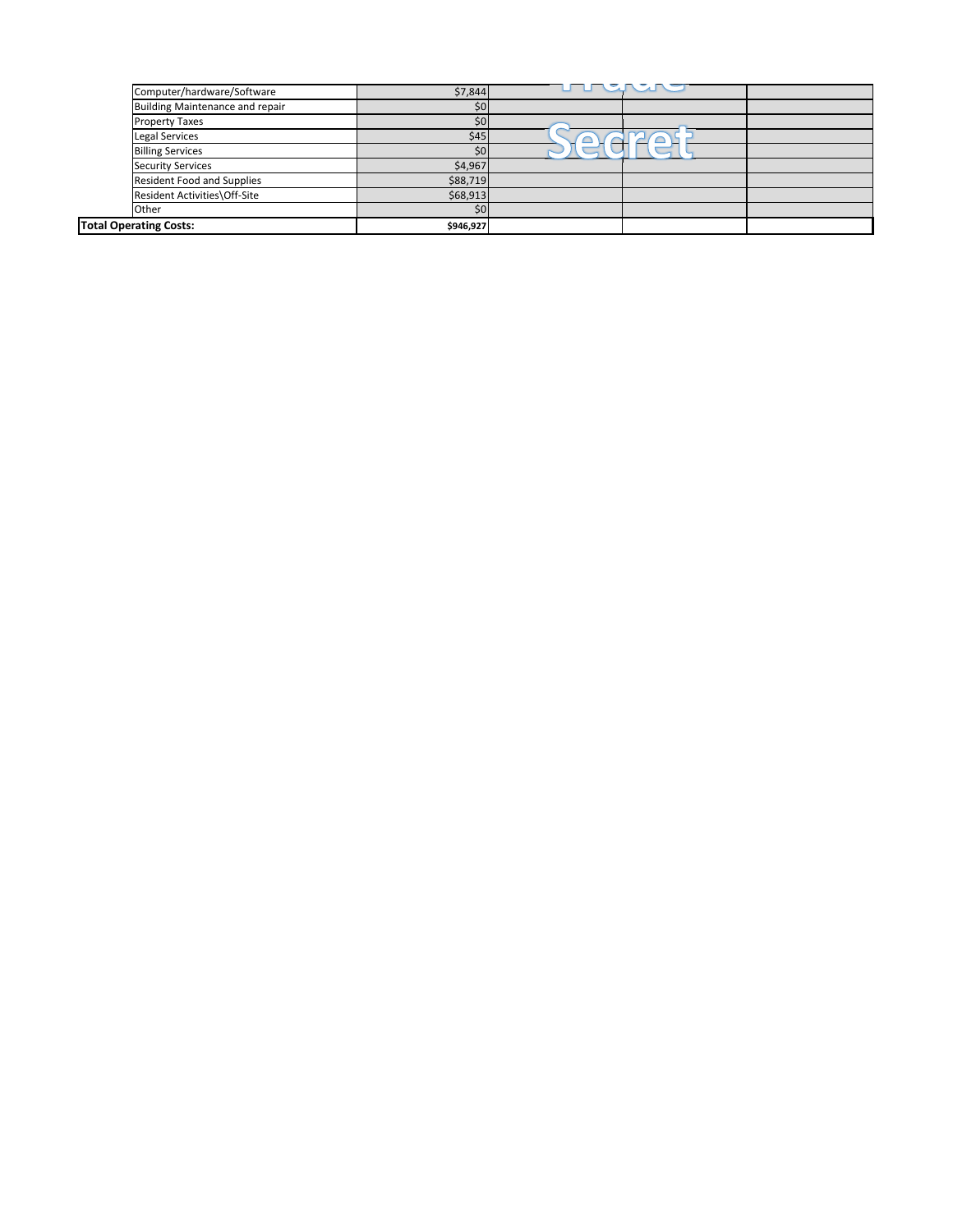| Computer/hardware/Software        | \$7,844   | <u>UTURU SURU</u> |  |
|-----------------------------------|-----------|-------------------|--|
| Building Maintenance and repair   | \$0       |                   |  |
| <b>Property Taxes</b>             | \$0       |                   |  |
| <b>Legal Services</b>             | \$45      |                   |  |
| <b>Billing Services</b>           | ċΛ        |                   |  |
| <b>Security Services</b>          | \$4,967   |                   |  |
| <b>Resident Food and Supplies</b> | \$88,719  |                   |  |
| Resident Activities\Off-Site      | \$68,913  |                   |  |
| Other                             | \$0       |                   |  |
| <b>Total Operating Costs:</b>     | \$946,927 |                   |  |